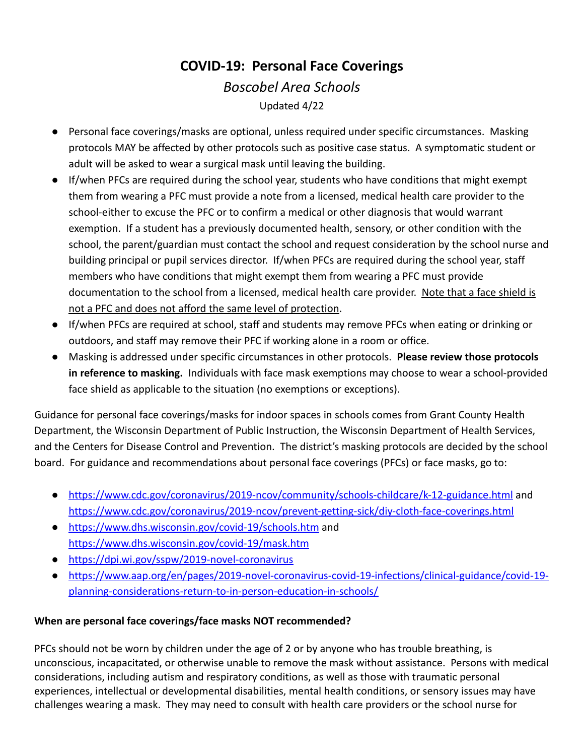## **COVID-19: Personal Face Coverings** *Boscobel Area Schools* Updated 4/22

- Personal face coverings/masks are optional, unless required under specific circumstances. Masking protocols MAY be affected by other protocols such as positive case status. A symptomatic student or adult will be asked to wear a surgical mask until leaving the building.
- If/when PFCs are required during the school year, students who have conditions that might exempt them from wearing a PFC must provide a note from a licensed, medical health care provider to the school-either to excuse the PFC or to confirm a medical or other diagnosis that would warrant exemption. If a student has a previously documented health, sensory, or other condition with the school, the parent/guardian must contact the school and request consideration by the school nurse and building principal or pupil services director. If/when PFCs are required during the school year, staff members who have conditions that might exempt them from wearing a PFC must provide documentation to the school from a licensed, medical health care provider. Note that a face shield is not a PFC and does not afford the same level of protection.
- If/when PFCs are required at school, staff and students may remove PFCs when eating or drinking or outdoors, and staff may remove their PFC if working alone in a room or office.
- **●** Masking is addressed under specific circumstances in other protocols. **Please review those protocols in reference to masking.** Individuals with face mask exemptions may choose to wear a school-provided face shield as applicable to the situation (no exemptions or exceptions).

Guidance for personal face coverings/masks for indoor spaces in schools comes from Grant County Health Department, the Wisconsin Department of Public Instruction, the Wisconsin Department of Health Services, and the Centers for Disease Control and Prevention. The district's masking protocols are decided by the school board. For guidance and recommendations about personal face coverings (PFCs) or face masks, go to:

- <https://www.cdc.gov/coronavirus/2019-ncov/community/schools-childcare/k-12-guidance.html> and <https://www.cdc.gov/coronavirus/2019-ncov/prevent-getting-sick/diy-cloth-face-coverings.html>
- <https://www.dhs.wisconsin.gov/covid-19/schools.htm> and <https://www.dhs.wisconsin.gov/covid-19/mask.htm>
- <https://dpi.wi.gov/sspw/2019-novel-coronavirus>
- [https://www.aap.org/en/pages/2019-novel-coronavirus-covid-19-infections/clinical-guidance/covid-19](https://www.aap.org/en/pages/2019-novel-coronavirus-covid-19-infections/clinical-guidance/covid-19-planning-considerations-return-to-in-person-education-in-schools/) [planning-considerations-return-to-in-person-education-in-schools/](https://www.aap.org/en/pages/2019-novel-coronavirus-covid-19-infections/clinical-guidance/covid-19-planning-considerations-return-to-in-person-education-in-schools/)

## **When are personal face coverings/face masks NOT recommended?**

PFCs should not be worn by children under the age of 2 or by anyone who has trouble breathing, is unconscious, incapacitated, or otherwise unable to remove the mask without assistance. Persons with medical considerations, including autism and respiratory conditions, as well as those with traumatic personal experiences, intellectual or developmental disabilities, mental health conditions, or sensory issues may have challenges wearing a mask. They may need to consult with health care providers or the school nurse for